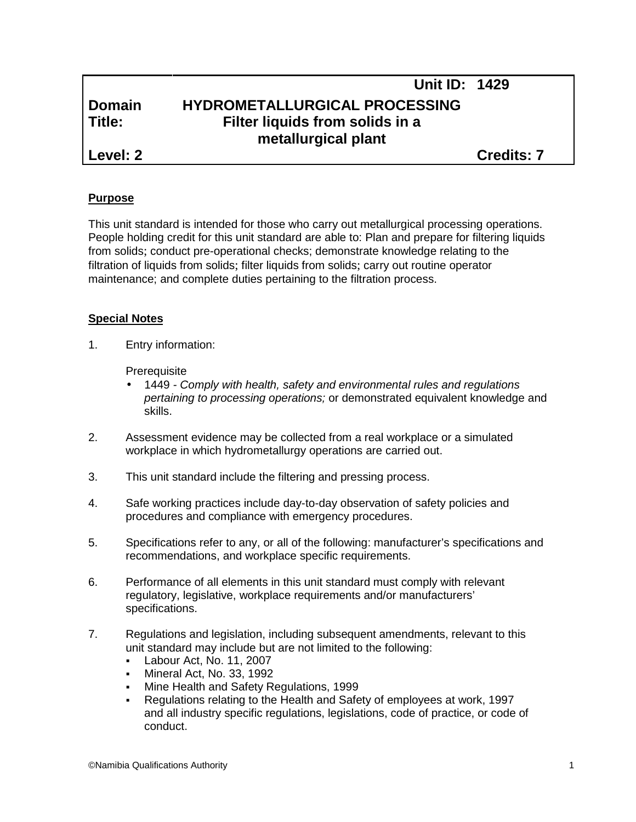# **Unit ID: 1429 Domain HYDROMETALLURGICAL PROCESSING Title: Filter liquids from solids in a metallurgical plant**

**Level: 2 Credits: 7**

## **Purpose**

This unit standard is intended for those who carry out metallurgical processing operations. People holding credit for this unit standard are able to: Plan and prepare for filtering liquids from solids; conduct pre-operational checks; demonstrate knowledge relating to the filtration of liquids from solids; filter liquids from solids; carry out routine operator maintenance; and complete duties pertaining to the filtration process.

#### **Special Notes**

1. Entry information:

**Prerequisite** 

- 1449 *- Comply with health, safety and environmental rules and regulations pertaining to processing operations;* or demonstrated equivalent knowledge and skills.
- 2. Assessment evidence may be collected from a real workplace or a simulated workplace in which hydrometallurgy operations are carried out.
- 3. This unit standard include the filtering and pressing process.
- 4. Safe working practices include day-to-day observation of safety policies and procedures and compliance with emergency procedures.
- 5. Specifications refer to any, or all of the following: manufacturer's specifications and recommendations, and workplace specific requirements.
- 6. Performance of all elements in this unit standard must comply with relevant regulatory, legislative, workplace requirements and/or manufacturers' specifications.
- 7. Regulations and legislation, including subsequent amendments, relevant to this unit standard may include but are not limited to the following:
	- Labour Act, No. 11, 2007
	- Mineral Act, No. 33, 1992
	- Mine Health and Safety Regulations, 1999
	- Regulations relating to the Health and Safety of employees at work, 1997 and all industry specific regulations, legislations, code of practice, or code of conduct.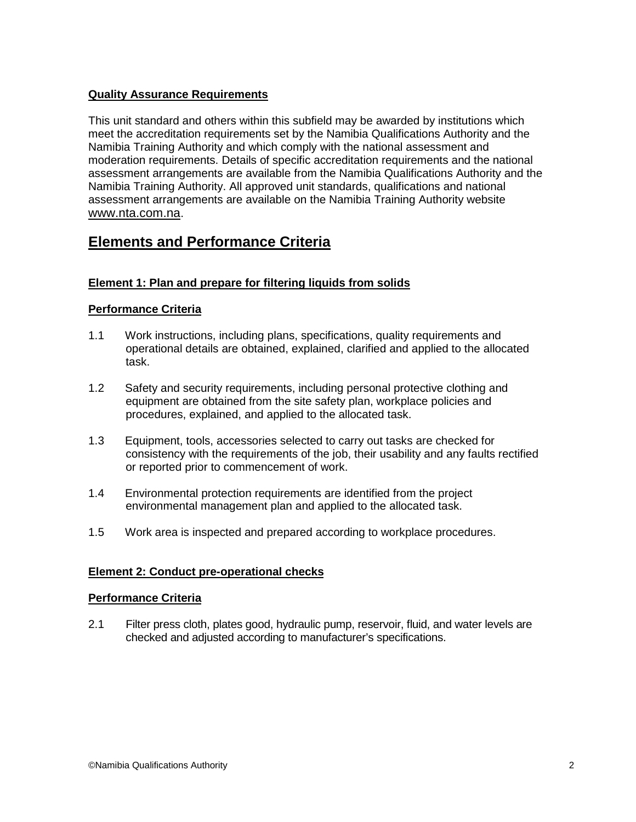## **Quality Assurance Requirements**

This unit standard and others within this subfield may be awarded by institutions which meet the accreditation requirements set by the Namibia Qualifications Authority and the Namibia Training Authority and which comply with the national assessment and moderation requirements. Details of specific accreditation requirements and the national assessment arrangements are available from the Namibia Qualifications Authority and the Namibia Training Authority. All approved unit standards, qualifications and national assessment arrangements are available on the Namibia Training Authority website www.nta.com.na.

## **Elements and Performance Criteria**

## **Element 1: Plan and prepare for filtering liquids from solids**

## **Performance Criteria**

- 1.1 Work instructions, including plans, specifications, quality requirements and operational details are obtained, explained, clarified and applied to the allocated task.
- 1.2 Safety and security requirements, including personal protective clothing and equipment are obtained from the site safety plan, workplace policies and procedures, explained, and applied to the allocated task.
- 1.3 Equipment, tools, accessories selected to carry out tasks are checked for consistency with the requirements of the job, their usability and any faults rectified or reported prior to commencement of work.
- 1.4 Environmental protection requirements are identified from the project environmental management plan and applied to the allocated task.
- 1.5 Work area is inspected and prepared according to workplace procedures.

## **Element 2: Conduct pre-operational checks**

#### **Performance Criteria**

2.1 Filter press cloth, plates good, hydraulic pump, reservoir, fluid, and water levels are checked and adjusted according to manufacturer's specifications.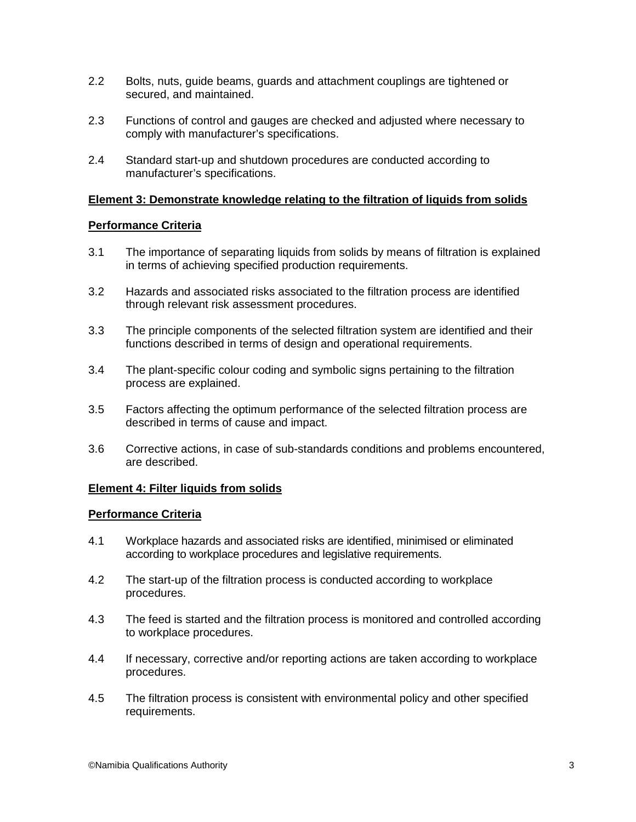- 2.2 Bolts, nuts, guide beams, guards and attachment couplings are tightened or secured, and maintained.
- 2.3 Functions of control and gauges are checked and adjusted where necessary to comply with manufacturer's specifications.
- 2.4 Standard start-up and shutdown procedures are conducted according to manufacturer's specifications.

#### **Element 3: Demonstrate knowledge relating to the filtration of liquids from solids**

#### **Performance Criteria**

- 3.1 The importance of separating liquids from solids by means of filtration is explained in terms of achieving specified production requirements.
- 3.2 Hazards and associated risks associated to the filtration process are identified through relevant risk assessment procedures.
- 3.3 The principle components of the selected filtration system are identified and their functions described in terms of design and operational requirements.
- 3.4 The plant-specific colour coding and symbolic signs pertaining to the filtration process are explained.
- 3.5 Factors affecting the optimum performance of the selected filtration process are described in terms of cause and impact.
- 3.6 Corrective actions, in case of sub-standards conditions and problems encountered, are described.

#### **Element 4: Filter liquids from solids**

#### **Performance Criteria**

- 4.1 Workplace hazards and associated risks are identified, minimised or eliminated according to workplace procedures and legislative requirements.
- 4.2 The start-up of the filtration process is conducted according to workplace procedures.
- 4.3 The feed is started and the filtration process is monitored and controlled according to workplace procedures.
- 4.4 If necessary, corrective and/or reporting actions are taken according to workplace procedures.
- 4.5 The filtration process is consistent with environmental policy and other specified requirements.